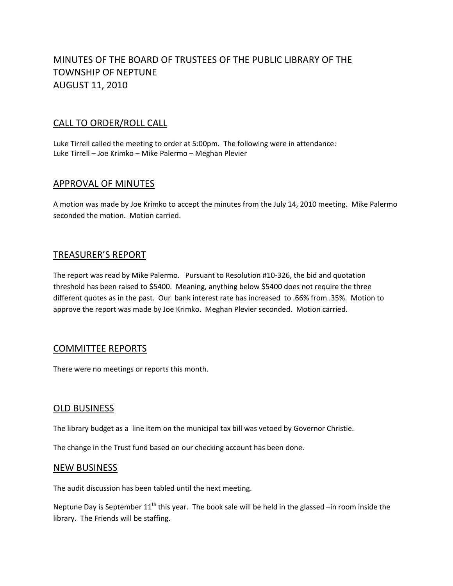# MINUTES OF THE BOARD OF TRUSTEES OF THE PUBLIC LIBRARY OF THE TOWNSHIP OF NEPTUNE AUGUST 11, 2010

## CALL TO ORDER/ROLL CALL

Luke Tirrell called the meeting to order at 5:00pm. The following were in attendance: Luke Tirrell – Joe Krimko – Mike Palermo – Meghan Plevier

## APPROVAL OF MINUTES

A motion was made by Joe Krimko to accept the minutes from the July 14, 2010 meeting. Mike Palermo seconded the motion. Motion carried.

## TREASURER'S REPORT

The report was read by Mike Palermo. Pursuant to Resolution #10-326, the bid and quotation threshold has been raised to \$5400. Meaning, anything below \$5400 does not require the three different quotes as in the past. Our bank interest rate has increased to .66% from .35%. Motion to approve the report was made by Joe Krimko. Meghan Plevier seconded. Motion carried.

### COMMITTEE REPORTS

There were no meetings or reports this month.

## OLD BUSINESS

The library budget as a line item on the municipal tax bill was vetoed by Governor Christie.

The change in the Trust fund based on our checking account has been done.

#### NEW BUSINESS

The audit discussion has been tabled until the next meeting.

Neptune Day is September  $11<sup>th</sup>$  this year. The book sale will be held in the glassed –in room inside the library. The Friends will be staffing.